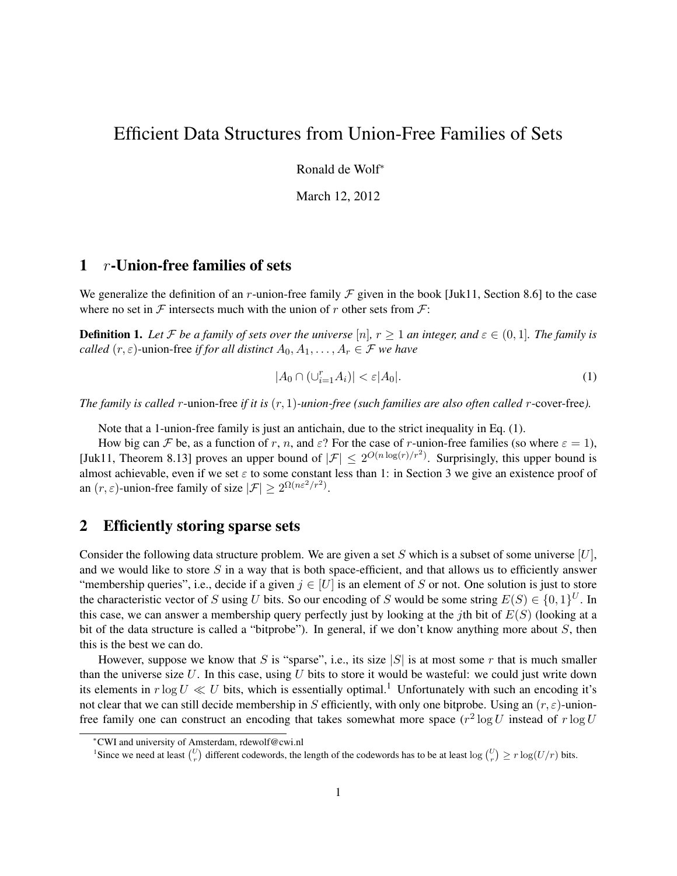# Efficient Data Structures from Union-Free Families of Sets

Ronald de Wolf<sup>∗</sup>

March 12, 2012

### 1  $r$ -Union-free families of sets

We generalize the definition of an r-union-free family  $\mathcal F$  given in the book [Juk11, Section 8.6] to the case where no set in  $\mathcal F$  intersects much with the union of r other sets from  $\mathcal F$ :

**Definition 1.** Let F be a family of sets over the universe [n],  $r \ge 1$  an integer, and  $\varepsilon \in (0,1]$ . The family is *called*  $(r, \varepsilon)$ -union-free *if for all distinct*  $A_0, A_1, \ldots, A_r \in \mathcal{F}$  *we have* 

$$
|A_0 \cap (\cup_{i=1}^r A_i)| < \varepsilon |A_0|.\tag{1}
$$

*The family is called* r-union-free *if it is* (r, 1)*-union-free (such families are also often called* r-cover-free*).*

Note that a 1-union-free family is just an antichain, due to the strict inequality in Eq. (1).

How big can F be, as a function of r, n, and  $\varepsilon$ ? For the case of r-union-free families (so where  $\varepsilon = 1$ ), [Juk11, Theorem 8.13] proves an upper bound of  $|\mathcal{F}| \leq 2^{O(n \log(r)/r^2)}$ . Surprisingly, this upper bound is almost achievable, even if we set  $\varepsilon$  to some constant less than 1: in Section 3 we give an existence proof of an  $(r, \varepsilon)$ -union-free family of size  $|\mathcal{F}| \ge 2^{\Omega(n\varepsilon^2/r^2)}$ .

#### 2 Efficiently storing sparse sets

Consider the following data structure problem. We are given a set S which is a subset of some universe  $[U]$ , and we would like to store  $S$  in a way that is both space-efficient, and that allows us to efficiently answer "membership queries", i.e., decide if a given  $j \in [U]$  is an element of S or not. One solution is just to store the characteristic vector of S using U bits. So our encoding of S would be some string  $E(S) \in \{0, 1\}^U$ . In this case, we can answer a membership query perfectly just by looking at the jth bit of  $E(S)$  (looking at a bit of the data structure is called a "bitprobe"). In general, if we don't know anything more about S, then this is the best we can do.

However, suppose we know that S is "sparse", i.e., its size  $|S|$  is at most some r that is much smaller than the universe size  $U$ . In this case, using  $U$  bits to store it would be wasteful: we could just write down its elements in  $r \log U \ll U$  bits, which is essentially optimal.<sup>1</sup> Unfortunately with such an encoding it's not clear that we can still decide membership in S efficiently, with only one bitprobe. Using an  $(r, \varepsilon)$ -unionfree family one can construct an encoding that takes somewhat more space  $(r^2 \log U$  instead of  $r \log U$ 

<sup>∗</sup>CWI and university of Amsterdam, rdewolf@cwi.nl

<sup>&</sup>lt;sup>1</sup>Since we need at least  $\binom{U}{r}$  different codewords, the length of the codewords has to be at least  $\log \binom{U}{r} \ge r \log(U/r)$  bits.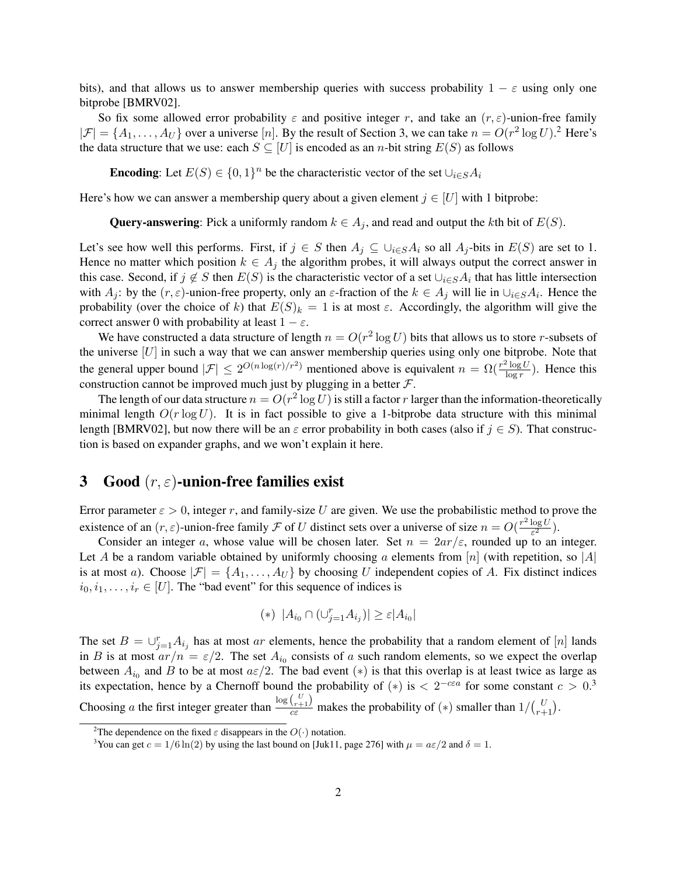bits), and that allows us to answer membership queries with success probability  $1 - \varepsilon$  using only one bitprobe [BMRV02].

So fix some allowed error probability  $\varepsilon$  and positive integer r, and take an  $(r, \varepsilon)$ -union-free family  $|\mathcal{F}| = \{A_1, \ldots, A_U\}$  over a universe [n]. By the result of Section 3, we can take  $n = O(r^2 \log U)^2$  Here's the data structure that we use: each  $S \subseteq [U]$  is encoded as an *n*-bit string  $E(S)$  as follows

**Encoding**: Let  $E(S) \in \{0, 1\}^n$  be the characteristic vector of the set  $\bigcup_{i \in S} A_i$ 

Here's how we can answer a membership query about a given element  $j \in [U]$  with 1 bitprobe:

**Query-answering**: Pick a uniformly random  $k \in A_j$ , and read and output the kth bit of  $E(S)$ .

Let's see how well this performs. First, if  $j \in S$  then  $A_j \subseteq \bigcup_{i \in S} A_i$  so all  $A_j$ -bits in  $E(S)$  are set to 1. Hence no matter which position  $k \in A_j$  the algorithm probes, it will always output the correct answer in this case. Second, if  $j \notin S$  then  $E(S)$  is the characteristic vector of a set  $\cup_{i\in S}A_i$  that has little intersection with  $A_j$ : by the  $(r, \varepsilon)$ -union-free property, only an  $\varepsilon$ -fraction of the  $k \in A_j$  will lie in  $\cup_{i \in S} A_i$ . Hence the probability (over the choice of k) that  $E(S)_k = 1$  is at most  $\varepsilon$ . Accordingly, the algorithm will give the correct answer 0 with probability at least  $1 - \varepsilon$ .

We have constructed a data structure of length  $n = O(r^2 \log U)$  bits that allows us to store r-subsets of the universe  $[U]$  in such a way that we can answer membership queries using only one bitprobe. Note that the general upper bound  $|\mathcal{F}| \leq 2^{O(n \log(r)/r^2)}$  mentioned above is equivalent  $n = \Omega(\frac{r^2 \log U}{\log r})$  $\frac{\log U}{\log r}$ ). Hence this construction cannot be improved much just by plugging in a better  $\mathcal{F}$ .

The length of our data structure  $n = O(r^2 \log U)$  is still a factor r larger than the information-theoretically minimal length  $O(r \log U)$ . It is in fact possible to give a 1-bitprobe data structure with this minimal length [BMRV02], but now there will be an  $\varepsilon$  error probability in both cases (also if  $j \in S$ ). That construction is based on expander graphs, and we won't explain it here.

## 3 Good  $(r, \varepsilon)$ -union-free families exist

Error parameter  $\varepsilon > 0$ , integer r, and family-size U are given. We use the probabilistic method to prove the existence of an  $(r, \varepsilon)$ -union-free family F of U distinct sets over a universe of size  $n = O(\frac{r^2 \log U}{\varepsilon^2})$  $\frac{\log U}{\varepsilon^2}$ ).

Consider an integer a, whose value will be chosen later. Set  $n = 2ar/\varepsilon$ , rounded up to an integer. Let A be a random variable obtained by uniformly choosing a elements from [n] (with repetition, so |A| is at most a). Choose  $|\mathcal{F}| = \{A_1, \ldots, A_U\}$  by choosing U independent copies of A. Fix distinct indices  $i_0, i_1, \ldots, i_r \in [U]$ . The "bad event" for this sequence of indices is

$$
(*) |A_{i_0} \cap (\cup_{j=1}^r A_{i_j})| \ge \varepsilon |A_{i_0}|
$$

The set  $B = \bigcup_{j=1}^r A_{i_j}$  has at most ar elements, hence the probability that a random element of [n] lands in B is at most  $ar/n = \varepsilon/2$ . The set  $A_{i_0}$  consists of a such random elements, so we expect the overlap between  $A_{i_0}$  and B to be at most  $a\varepsilon/2$ . The bad event (\*) is that this overlap is at least twice as large as its expectation, hence by a Chernoff bound the probability of  $(*)$  is  $\lt 2^{-c\epsilon a}$  for some constant  $c > 0$ .<sup>3</sup> Choosing a the first integer greater than  $\frac{\log {L+1 \choose r+1}}{c\varepsilon}$  makes the probability of  $(*)$  smaller than  $1/{L \choose r+1}$ .

<sup>&</sup>lt;sup>2</sup>The dependence on the fixed  $\varepsilon$  disappears in the  $O(·)$  notation.

<sup>&</sup>lt;sup>3</sup>You can get  $c = 1/6 \ln(2)$  by using the last bound on [Juk11, page 276] with  $\mu = a\varepsilon/2$  and  $\delta = 1$ .